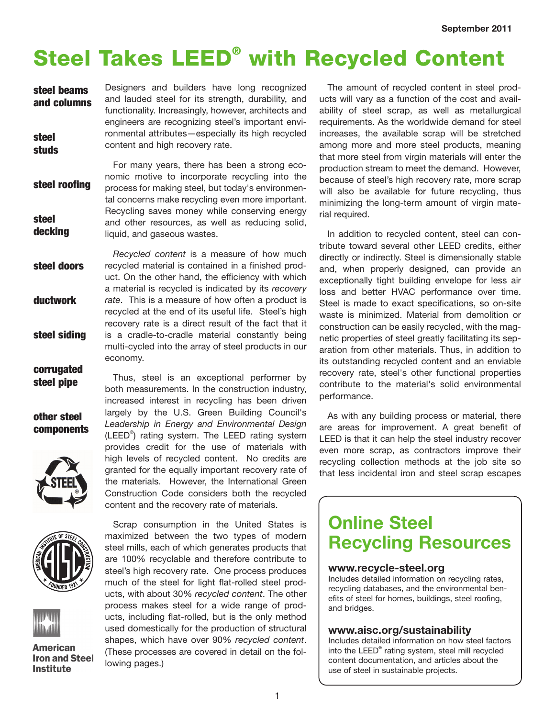# Steel Takes LEED® with Recycled Content

| steel beams           | Designers and builders have long recognized                                          |
|-----------------------|--------------------------------------------------------------------------------------|
| and columns           | and lauded steel for its strength, durability, and                                   |
|                       | functionality. Increasingly, however, architects and                                 |
|                       | engineers are recognizing steel's important envi-                                    |
| steel<br><b>studs</b> | ronmental attributes-especially its high recycled<br>content and high recovery rate. |

For many years, there has been a strong economic motive to incorporate recycling into the process for making steel, but today's environmental concerns make recycling even more important. Recycling saves money while conserving energy and other resources, as well as reducing solid, liquid, and gaseous wastes. steel roofing steel decking

*Recycled content* is a measure of how much recycled material is contained in a finished product. On the other hand, the efficiency with which a material is recycled is indicated by its *recovery rate*. This is a measure of how often a product is recycled at the end of its useful life. Steel's high recovery rate is a direct result of the fact that it is a cradle-to-cradle material constantly being multi-cycled into the array of steel products in our economy. steel doors ductwork steel siding

other steel components

corrugated steel pipe







**American Iron and Steel Institute** 

Thus, steel is an exceptional performer by both measurements. In the construction industry, increased interest in recycling has been driven largely by the U.S. Green Building Council's *Leadership in Energy and Environmental Design* (LEED® ) rating system. The LEED rating system provides credit for the use of materials with high levels of recycled content. No credits are granted for the equally important recovery rate of the materials. However, the International Green Construction Code considers both the recycled content and the recovery rate of materials.

Scrap consumption in the United States is maximized between the two types of modern steel mills, each of which generates products that are 100% recyclable and therefore contribute to steel's high recovery rate. One process produces much of the steel for light flat-rolled steel products, with about 30% *recycled content*. The other process makes steel for a wide range of products, including flat-rolled, but is the only method used domestically for the production of structural shapes, which have over 90% *recycled content*. (These processes are covered in detail on the following pages.)

The amount of recycled content in steel products will vary as a function of the cost and availability of steel scrap, as well as metallurgical requirements. As the worldwide demand for steel increases, the available scrap will be stretched among more and more steel products, meaning that more steel from virgin materials will enter the production stream to meet the demand. However, because of steel's high recovery rate, more scrap will also be available for future recycling, thus minimizing the long-term amount of virgin material required.

In addition to recycled content, steel can contribute toward several other LEED credits, either directly or indirectly. Steel is dimensionally stable and, when properly designed, can provide an exceptionally tight building envelope for less air loss and better HVAC performance over time. Steel is made to exact specifications, so on-site waste is minimized. Material from demolition or construction can be easily recycled, with the magnetic properties of steel greatly facilitating its separation from other materials. Thus, in addition to its outstanding recycled content and an enviable recovery rate, steel's other functional properties contribute to the material's solid environmental performance.

As with any building process or material, there are areas for improvement. A great benefit of LEED is that it can help the steel industry recover even more scrap, as contractors improve their recycling collection methods at the job site so that less incidental iron and steel scrap escapes

## **Online Steel Recycling Resources**

### **www.recycle-steel.org**

Includes detailed information on recycling rates, recycling databases, and the environmental benefits of steel for homes, buildings, steel roofing, and bridges.

#### **www.aisc.org/sustainability**

Includes detailed information on how steel factors into the LEED® rating system, steel mill recycled content documentation, and articles about the use of steel in sustainable projects.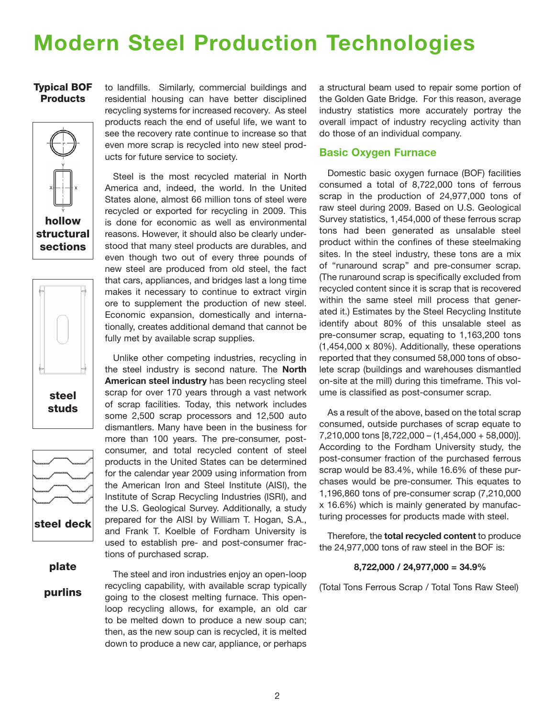## **Modern Steel Production Technologies**

### Typical BOF Products







plate

purlins

to landfills. Similarly, commercial buildings and residential housing can have better disciplined recycling systems for increased recovery. As steel products reach the end of useful life, we want to see the recovery rate continue to increase so that even more scrap is recycled into new steel products for future service to society.

Steel is the most recycled material in North America and, indeed, the world. In the United States alone, almost 66 million tons of steel were recycled or exported for recycling in 2009. This is done for economic as well as environmental reasons. However, it should also be clearly understood that many steel products are durables, and even though two out of every three pounds of new steel are produced from old steel, the fact that cars, appliances, and bridges last a long time makes it necessary to continue to extract virgin ore to supplement the production of new steel. Economic expansion, domestically and internationally, creates additional demand that cannot be fully met by available scrap supplies.

Unlike other competing industries, recycling in the steel industry is second nature. The **North American steel industry** has been recycling steel scrap for over 170 years through a vast network of scrap facilities. Today, this network includes some 2,500 scrap processors and 12,500 auto dismantlers. Many have been in the business for more than 100 years. The pre-consumer, postconsumer, and total recycled content of steel products in the United States can be determined for the calendar year 2009 using information from the American Iron and Steel Institute (AISI), the Institute of Scrap Recycling Industries (ISRI), and the U.S. Geological Survey. Additionally, a study prepared for the AISI by William T. Hogan, S.A., and Frank T. Koelble of Fordham University is used to establish pre- and post-consumer fractions of purchased scrap.

The steel and iron industries enjoy an open-loop recycling capability, with available scrap typically going to the closest melting furnace. This openloop recycling allows, for example, an old car to be melted down to produce a new soup can; then, as the new soup can is recycled, it is melted down to produce a new car, appliance, or perhaps

a structural beam used to repair some portion of the Golden Gate Bridge. For this reason, average industry statistics more accurately portray the overall impact of industry recycling activity than do those of an individual company.

### **Basic Oxygen Furnace**

Domestic basic oxygen furnace (BOF) facilities consumed a total of 8,722,000 tons of ferrous scrap in the production of 24,977,000 tons of raw steel during 2009. Based on U.S. Geological Survey statistics, 1,454,000 of these ferrous scrap tons had been generated as unsalable steel product within the confines of these steelmaking sites. In the steel industry, these tons are a mix of "runaround scrap" and pre-consumer scrap. (The runaround scrap is specifically excluded from recycled content since it is scrap that is recovered within the same steel mill process that generated it.) Estimates by the Steel Recycling Institute identify about 80% of this unsalable steel as pre-consumer scrap, equating to 1,163,200 tons (1,454,000 x 80%). Additionally, these operations reported that they consumed 58,000 tons of obsolete scrap (buildings and warehouses dismantled on-site at the mill) during this timeframe. This volume is classified as post-consumer scrap.

As a result of the above, based on the total scrap consumed, outside purchases of scrap equate to 7,210,000 tons [8,722,000 – (1,454,000 + 58,000)]. According to the Fordham University study, the post-consumer fraction of the purchased ferrous scrap would be 83.4%, while 16.6% of these purchases would be pre-consumer. This equates to 1,196,860 tons of pre-consumer scrap (7,210,000 x 16.6%) which is mainly generated by manufacturing processes for products made with steel.

Therefore, the **total recycled content** to produce the 24,977,000 tons of raw steel in the BOF is:

#### **8,722,000 / 24,977,000 = 34.9%**

(Total Tons Ferrous Scrap / Total Tons Raw Steel)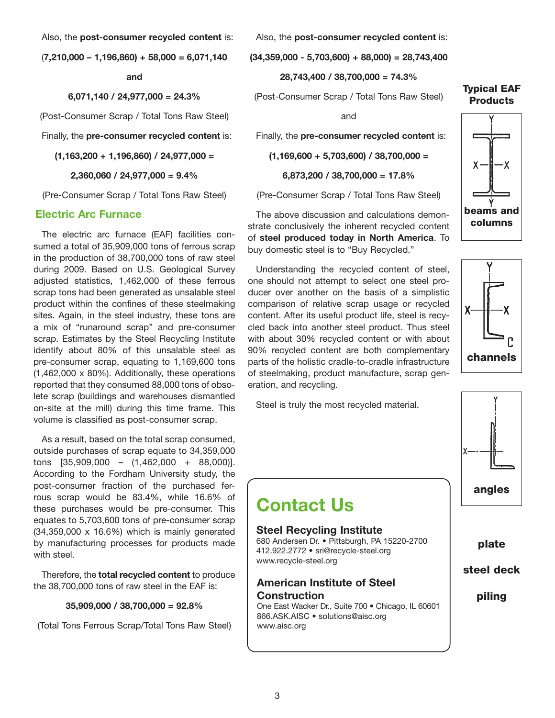Also, the **post-consumer recycled content** is:

(**7,210,000 – 1,196,860) + 58,000 = 6,071,140** 

**and**

**6,071,140 / 24,977,000 = 24.3%**

(Post-Consumer Scrap / Total Tons Raw Steel)

Finally, the **pre-consumer recycled content** is:

**(1,163,200 + 1,196,860) / 24,977,000 =**

**2,360,060 / 24,977,000 = 9.4%**

(Pre-Consumer Scrap / Total Tons Raw Steel)

#### **Electric Arc Furnace**

The electric arc furnace (EAF) facilities consumed a total of 35,909,000 tons of ferrous scrap in the production of 38,700,000 tons of raw steel during 2009. Based on U.S. Geological Survey adjusted statistics, 1,462,000 of these ferrous scrap tons had been generated as unsalable steel product within the confines of these steelmaking sites. Again, in the steel industry, these tons are a mix of "runaround scrap" and pre-consumer scrap. Estimates by the Steel Recycling Institute identify about 80% of this unsalable steel as pre-consumer scrap, equating to 1,169,600 tons (1,462,000 x 80%). Additionally, these operations reported that they consumed 88,000 tons of obsolete scrap (buildings and warehouses dismantled on-site at the mill) during this time frame. This volume is classified as post-consumer scrap.

As a result, based on the total scrap consumed, outside purchases of scrap equate to 34,359,000 tons [35,909,000 – (1,462,000 + 88,000)]. According to the Fordham University study, the post-consumer fraction of the purchased ferrous scrap would be 83.4%, while 16.6% of these purchases would be pre-consumer. This equates to 5,703,600 tons of pre-consumer scrap (34,359,000 x 16.6%) which is mainly generated by manufacturing processes for products made with steel.

Therefore, the **total recycled content** to produce the 38,700,000 tons of raw steel in the EAF is:

**35,909,000 / 38,700,000 = 92.8%**

(Total Tons Ferrous Scrap/Total Tons Raw Steel)

Also, the **post-consumer recycled content** is:

**(34,359,000 - 5,703,600) + 88,000) = 28,743,400**

**28,743,400 / 38,700,000 = 74.3%**

(Post-Consumer Scrap / Total Tons Raw Steel)

and

Finally, the **pre-consumer recycled content** is:

**(1,169,600 + 5,703,600) / 38,700,000 =**

**6,873,200 / 38,700,000 = 17.8%**

(Pre-Consumer Scrap / Total Tons Raw Steel)

The above discussion and calculations demonstrate conclusively the inherent recycled content of **steel produced today in North America**. To buy domestic steel is to "Buy Recycled."

Understanding the recycled content of steel, one should not attempt to select one steel producer over another on the basis of a simplistic comparison of relative scrap usage or recycled content. After its useful product life, steel is recycled back into another steel product. Thus steel with about 30% recycled content or with about 90% recycled content are both complementary parts of the holistic cradle-to-cradle infrastructure of steelmaking, product manufacture, scrap generation, and recycling.

Steel is truly the most recycled material.

## **Contact Us**

#### **Steel Recycling Institute**

680 Andersen Dr. • Pittsburgh, PA 15220-2700 412.922.2772 • sri@recycle-steel.org www.recycle-steel.org

**American Institute of Steel Construction** One East Wacker Dr., Suite 700 • Chicago, IL 60601

866.ASK.AISC • solutions@aisc.org www.aisc.org

#### Typical EAF **Products**







plate

steel deck

piling